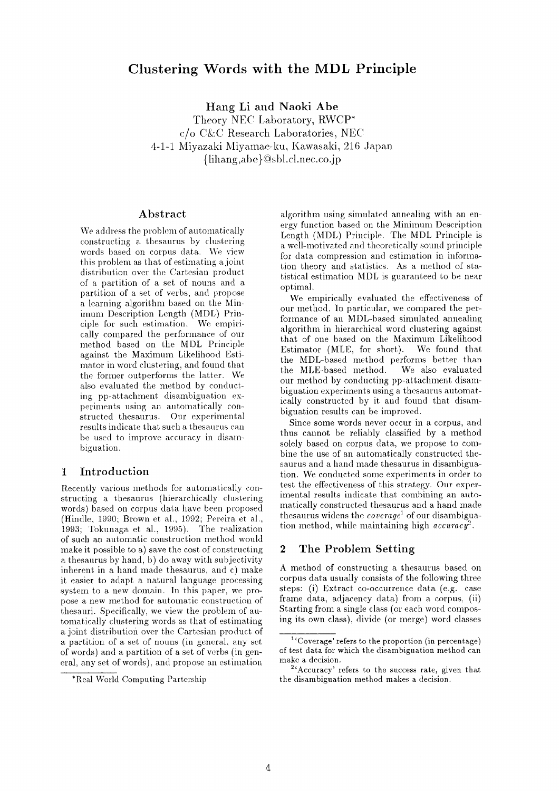# **Clustering Words with the MDL Principle**

Hang Li and **Naoki Abe** 

Theory NEC Laboratory, RWCP\*  $c/o$  C&C Research Laboratories, NEC 4-1-1 Miyazaki Miyamae-ku, Kawasaki, 216 Japan {lihang,abe} (@sbl.cl.nee.co.jp

## **Abstract**

We address the problem of automatically constructing a thesaurus by clustering words based on corpus data. We view this problem as that of estimating a joint distribution over the Cartesian product of a partition of a set of nouns and a partition of a set of verbs, and propose a learning algorithm based on the Mininmm Description Length (MDL) Principle for such estimation. We empirically compared the performance of our method based on the MDL Principle against the Maximum Likelihood Estimator in word clustering, and found that the former outperforms the latter. We also evaluated the method by conducting pp-attachment disambiguation experiments using an automatically constructed thesaurus. Our experimental results indicate that such a thesaurus can be used to improve accuracy in disambiguation.

## **1** Introduction

Recently various methods for automatically constructing a thesaurus (hierarchically clustering words) based on corpus data have been proposed (Hindle, 1990; Brown et al., 1992; Pereira et al., 1993; Tokunaga et al., 1995). The realization of such an automatic construction method would make it possible to a) save the cost of constructing a thesaurus by hand, b) do away with subjectivity inherent in a hand made thesaurus, and c) make it easier to adapt a natural language processing system to a new domain. In this paper, we propose a new method for automatic construction of thesauri. Specifically, we view the problem of automatically clustering words as that of estimating a joint distribution over the Cartesian product of a partition of a set of nouns (in general, any set of words) and a partition of a set of verbs (in general, any set of words), and propose an estimation

algorithm using simulated annealing with an energy function based on the Minimum Description Length (MDL) Principle. The MDL Principle is a well-motivated and theoretically sound principle for data compression and estimation in information theory and statistics. As a method of statistical estimation MDL is guaranteed to be near optimal.

We empirically evaluated the effectiveness of our method. In particular, we compared the performance of an MDL-based simulated annealing algorithm in hierarchical word clustering against. that of one based on the Maximum Likelihood Estimator (MLE, for short). We found that the MDL-based method performs better than the MLE-based method. We also evaluated our method by conducting pp-attachment disambiguation experiments using a thesaurus automatically constructed by it and found that disambiguation results can be improved.

Since some words never occur in a corpus, and thus cannot be reliably classified by a method solely based on corpus data, we propose to combine the use of an automatically constructed thesaurus and a hand made thesaurus in disambiguation. We conducted some experiments in order to test the effectiveness of this strategy. Our experimental results indicate that combining an automatically constructed thesaurus and a hand made thesaurus widens the *coverage*<sup>1</sup> of our disambiguation method, while maintaining high *accuracy*<sup>2</sup>.

## **2 The Problem Setting**

A method of constructing a thesaurus based on corpus data usually consists of the following three steps: (i) Extract co-occurrence data (e.g. case frame data, adjacency data) from a corpus, (ii) Starting from a single class (or each word composing its own class), divide (or merge) word classes

<sup>\*</sup>Real World Computing Partership

 $1$ <sup>4</sup>Coverage' refers to the proportion (in percentage) of test data for which the disambiguation method can make a decision.

 $2^{2}$ <sup>2</sup> Accuracy' refers to the success rate, given that the disambiguation method makes a decision.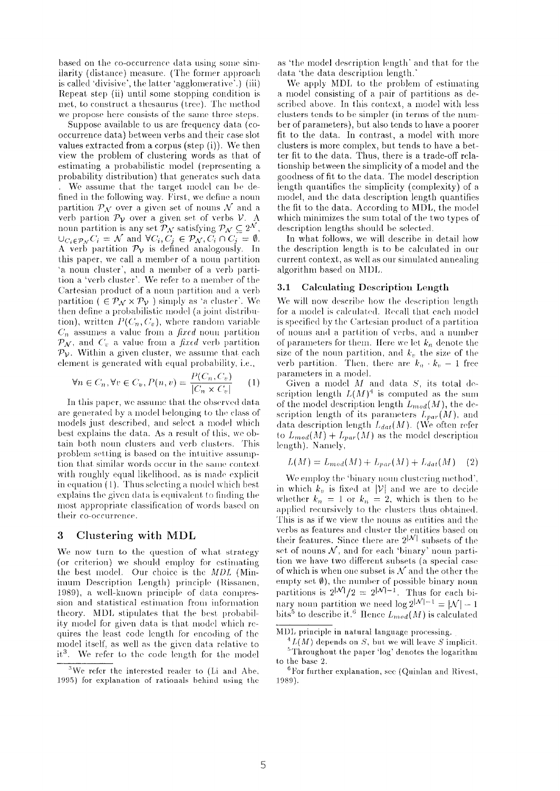based on the co-occurrence data using some similarity (distance) measure. (The former approach is called 'divisive', the latter 'agglomerative'.) (iii) Repeat step (ii) until some stopping condition is met, to construct a thesaurus (tree). The method we propose here consists of the same three steps.

Suppose available to us are frequency data **(cooccurrence data.)** between verbs and their case slot. values extracted from a corpus (step **(i)). We** then view the problem of clustering words as that of estimating a probabilistic model (representing a. probability distribution) that generates such data We assume that the target model can be defined in the following way. First, we define a noun partition  $\mathcal{P}_{\mathcal{N}}$  over a given set of nouns  $\mathcal{N}$  and a verb partion  $\mathcal{P}_{\mathcal{V}}$  over a given set of verbs  $\mathcal{V}$ .  $\Lambda$ noun partition is any set  $\mathcal{P}_\mathcal{N}$  satisfying  $\mathcal{P}_\mathcal{N} \subseteq 2^\mathcal{N}$  ,  $\bigcup_{C_i \in \mathcal{P}_{\mathcal{N}}} C_i = \mathcal{N}$  and  $\forall C_i, C_j \in \mathcal{P}_{\mathcal{N}}, C_i \cap C_j = \emptyset$ . A verb partition  $\mathcal{P}_{\mathcal{V}}$  is defined analogously. In this paper, we call a member of a noun partition 'a noun cluster', and a member of a verb partition a 'verb cluster'. We refer to a member of the Cartesian product of a noun partition and a verb partition (  $\in \mathcal{P}_{\mathcal{N}} \times \mathcal{P}_{\mathcal{V}}$  ) simply as 'a cluster'. We then define a probabilistic model (a joint distribution), written  $P(C_n, C_v)$ , where random variable  $C_n$  assumes a value from a *fixed* nouu partition  $\mathcal{P}_{\mathcal{N}}$ , and  $C_v$  a value from a *fixed* verb partition  $\mathcal{P}_{\mathcal{V}}$ . Within a given cluster, we assume that each element is generated with equal probability, i.e.,

$$
\forall n \in C_n, \forall v \in C_v, P(n, v) = \frac{P(C_n, C_v)}{|C_n \times C_v|} \qquad (1)
$$

In this paper, we assume that the observed data are generaied by a model belonging to the class of models just described, and select a model which best explains the data.. As a result of this, we obtain both noun clusters and verb clusters. This problem setting is based on the intuitive assumption that similar words occur in the same context with roughly equal likelihood, as is made explicit in equation (1). Thus selecting a model which best explains the given data is equivalent to finding the most appropriate classification of words based on their co-occurrence.

## **3 Clustering with MDL**

We now turn to the question of what strategy (or criterion) we should employ for estimating the best model. Our choice is the *MDL* (Minimum Description Length) principle (Rissanen, 1989), a well-known principle of data compression and statistical estimation from information theory. MDI, stipulates that the best probability model for given data is that model which requires the least code length for encoding of the model itself, as well as the given data relative to  $it<sup>3</sup>$ . We refer to the code length for the model

as 'the model description length' and that for the data 'the data description length.

We apply MDI, to the problem of estimating a model consisting of a pair of partitions as described above. In this context, a model with less clusters tends to be simpler (in terms of the number of parameters), but also tends to have a poorer fit to the data. In contrast, a model with more clusters is more complex, but tends to have **a better fit to the data. Thus, there is a trade-off relationship** between the simplicity of **a** model and the goodness of fit to the data. The model description length quantifies the simplicity (complexity) of a model, and the data description length quantifies the fit to the data. According to MDL, the model which minimizes the sum total of the two types of description lengths should be selected.

In what follows, we will describe in detail how the description length is to be calculated in our current context, as well as our simulated annealing algorithm based on MI)L.

### **3.1** Calculating Description Length

We will now describe how the description length for a model is calculated. Recall that each model is specified by the Cartesian product of a partition of nouns and a partition of verbs, and a number of parameters for them. Here we let  $k_n$  denote the size of the noun partition, and  $k_v$  the size of the verb partition. Then, there are  $k_n \cdot k_v-1$  free parameters in a model.

Given a model  $M$  and data  $S$ , its total description length  $L(M)^4$  is computed as the sum of the model description length  $L_{mod}(M)$ , the description length of its parameters  $L_{par}(M)$ , and data description length  $L_{dat}(M)$ . (We often refer to  $L_{mod}(M) + L_{par}(M)$  as the model description length). Namely,

$$
L(M) = L_{mod}(M) + L_{par}(M) + L_{dat}(M) \quad (2)
$$

We employ the 'binary noun clustering method', in which  $k_v$  is fixed at  $|V|$  and we are to decide whether  $k_n = 1$  or  $k_n = 2$ , which is then to be applied recursively to the clusters thus obtained. This is as if we view the nouns as entities and the verbs as features and cluster the entities based on their features. Since there are  $2^{|{\cal N}|}$  subsets of the set of nouns  $N$ , and for each 'binary' noun partition we have two different subsets (a special case of which is when one subset is  $N$  and the other the empty set  $\emptyset$ ), the number of possible binary noun partitions is  $2^{|{\cal N}|}/2 = 2^{|{\cal N}|-1}$ . Thus for each binary noun partition we need  $\log 2^{|N|-1} = |N|-1$ bits<sup>5</sup> to describe it.<sup>6</sup> Hence  $L_{mod}(M)$  is calculated

<sup>&</sup>lt;sup>3</sup>We refer the interested reader to (Li and Abe, 1995) for explanation of rationals behind using the

MI)L principle in natural language processing.

 $^{4}L(M)$  depends on S, but we will leave S implicit.  $5$ Throughout the paper 'log' denotes the logarithm to the base 2.

 ${}^{6}$  For further explanation, see (Quinlan and Rivest, 1989).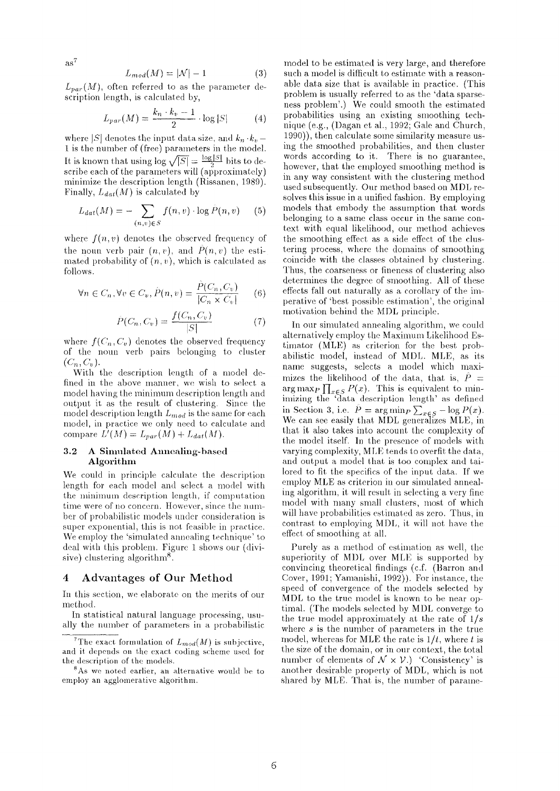$as^7$ 

$$
L_{mod}(M) = |\mathcal{N}| - 1 \tag{3}
$$

 $L_{par}(M)$ , often referred to as the parameter description length, is calculated by,

$$
L_{par}(M) = \frac{k_n \cdot k_v - 1}{2} \cdot \log |S| \tag{4}
$$

where  $|S|$  denotes the input data size, and  $k_n \cdot k_v$ . 1 is the number of (free) parameters in the model. It is known that using  $\log \sqrt{|S|} = \frac{\log |S|}{2}$  bits to describe each of the parameters will (approximately) minimize the description length (Rissanen, 1989). Finally,  $L_{dat}(M)$  is calculated by

$$
L_{dat}(M) = -\sum_{(n,v)\in S} f(n,v) \cdot \log \hat{P}(n,v) \qquad (5)
$$

where  $f(n, v)$  denotes the observed frequency of the noun verb pair  $(n, v)$ , and  $P(n, v)$  the estimated probability of  $(n, v)$ , which is calculated as follows.

$$
\forall n \in C_n, \forall v \in C_v, \hat{P}(n, v) = \frac{P(C_n, C_v)}{|C_n \times C_v|} \qquad (6)
$$

$$
\hat{P}(C_n, C_v) = \frac{f(C_n, C_v)}{|S|} \tag{7}
$$

where  $f(C_n, C_v)$  denotes the observed frequency of the noun verb pairs belonging to cluster  $(C_n, C_v).$ 

With the description length of a model defined in the above manner, we wish to select a model having the minimum description length and output it as the result of clustering. Since the model description length *Lmod* is the same for each model, in practice we only need to calculate and compare  $L'(M) = L_{par}(M) + L_{dat}(M)$ .

### 3.2 A Simulated Annealing-based Algorithm

We could in principle calculate the description length for each model and select, a model with the minimum description length, if computation time were of no concern. However, since the number of probal)ilistic models under consideration is super exponential, this is not feasible in practice. We employ the 'simulated annealing technique' to deal with this problem. Figure 1 shows our (divisive) clustering algorithm<sup>8</sup>.

## **4 Advantages of Our Method**

In this section, we elaborate on the merits of our method.

In statistical natural language processing, usually the number of parameters in a probabilistic

model to be estimated is very large, and therefore such a model is difficult to estimate with a reasonable data size that is available in practice. (This problem is usually referred to as the 'data sparseness problem'.) We could smooth the estimated probabilities using an existing smoothing technique (e.g., (Dagan et al., 1992; Gale and Church, 1990)), then calculate some similarity measure using the smoothed probabilities, and then cluster words according to it. There is no guarantee, however, that the employed smoothing method is in any way consistent with the clustering method used subsequently. Our method based on MDL resolves this issue in a unified fashion. By employing models that embody the assumption that words belonging to a same class occur in the same context with equal likelihood, our method achieves the smoothing effect as a side effect of the clustering process, where the domains of smoothing coincide with the classes obtained by clustering. Thus, the coarseness or fineness of clustering also determines the degree of smoothing. All of these effects fall out naturally as a corollary of the imperatiw? of 'best possible estimation', the original motivation behind the MDL principle.

In our simulated annealing algorithm, we could alternatively employ the Maximum Likelihood Estimator (MLE) as criterion for the best probabilistic model, instead of MDL. MLE, as its name suggests, selects a model which maximizes the likelihood of the data, that is,  $\hat{P}$  = arg max<sub>P</sub>  $\prod_{x \in S} P(x)$ . This is equivalent to minimizing the 'data description length' as defined in Section 3, i.e.  $P = \arg \min_P \sum_{x \in S} -\log P(x)$ . We can see easily that MDL generalizes MLE, in that it also takes into account the complexity of the model itself. In the presence of models with varying complexity, MLE tends to overfit the data, and output a model that is too complex and tailored to fit the specifics of the input data. If we employ MLE as criterion in our simulated annealing algorithm, it will result in selecting a very fine model with many small clusters, most of which will have probabilities estimated as zero. Thus, in contrast to employing MDL, it will not have the effect of smoothing at all.

Purely as a method of estimation as well, the superiority of MI)L over MLE is supported by convincing theoretical findings (c.f. (Barton and Cover, 1991; Yamanishi, 1992)). For instance, the speed of convergence of the models selected by MDL to the true model is known to be near optimal. (The models selected by MDL converge to the true model approximately at the rate of *1/s*  where  $s$  is the number of parameters in the true model, whereas for MLE the rate is  $1/t$ , where t is the size of the domain, or in our context, the total number of elements of  $\mathcal{N} \times \mathcal{V}$ .) 'Consistency' is another desirable property of MDL, which is not shared by MLE. That is, the number of parame-

<sup>&</sup>lt;sup>7</sup>The exact formulation of  $L_{mod}(M)$  is subjective, and it depends on the exact coding scheme used for the description of the models.

 $8$ As we noted earlier, an alternative would be to employ an agglomerative algorithm.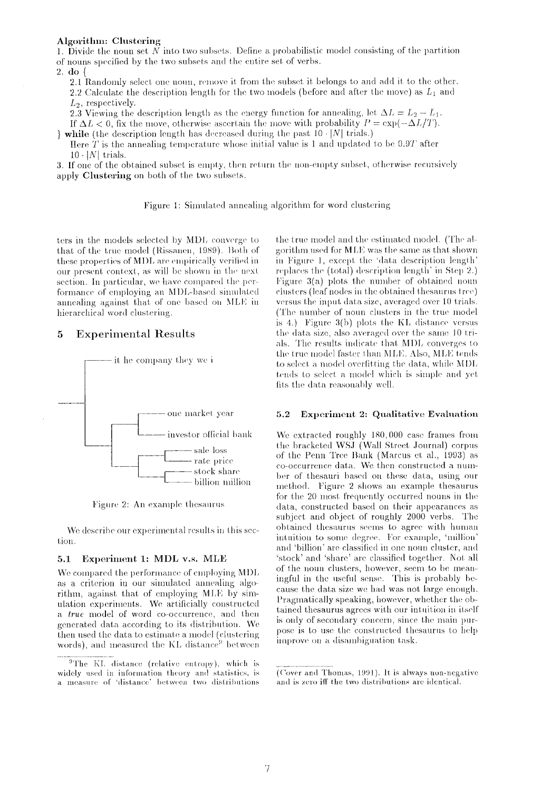### Algorithm: Clustering

1. Divide the noun set  $\tilde{N}$  into two subsets. Define a probabilistic model consisting of the partition of nouns specified by the two subsets and the entire set of verbs.

2. do {

2.1 Randomly select one noun, remove it from the subset it belongs to and add it to the other. 2.2 Calculate the description length for the two models (before and after the move) as  $L_1$  and  $L_2$ , respectively.

2.3 Viewing the description length as the energy function for annealing, let  $\Delta L = L_2 - L_1$ . If  $\Delta L < 0$ , fix the move, otherwise ascertain the move with probability  $P = \exp(-\Delta L/T)$ .

 $\mathbf{v}$  while (the description length has decreased during the past 10  $\cdot$  |N| trials.)

Here T is the annealing temperature whose initial value is 1 and updated to be  $0.9T$  after  $10 \cdot |N|$  trials.

3. If one of the obtained subset is empty, then return the non-empty subset, otherwise recursively apply Clustering on both of the two subsets.

Figure 1: Simulated annealing algorithm for word clustering

ters in the models selected by MDL converge to that of the true model (Rissanen, 1989). Both of these properties of MDL are empirically verified in our present context, as will be shown in the next section. In particular, we have compared the performance of employing an MDL-based simulated annealing against that of one based on MLE in hierarchical word clustering.

### 5 **Experimental Results**



Figure 2: An example thesaurus

We describe our experimental results in this section.

#### $5.1$ Experiment 1: MDL v.s. MLE

We compared the performance of employing MDL as a criterion in our simulated annealing algorithm, against that of employing MLE by simulation experiments. We artificially constructed a true model of word co-occurrence, and then generated data according to its distribution. We then used the data to estimate a model (clustering words), and measured the KL distance<sup>9</sup> between the true model and the estimated model. (The algorithm used for MLE was the same as that shown in Figure 1, except the 'data description length' replaces the (total) description length' in Step 2.) Figure  $3(a)$  plots the number of obtained noun clusters (leaf nodes in the obtained thesaurus tree) versus the input data size, averaged over 10 trials. (The number of noun clusters in the true model) is 4.) Figure  $3(b)$  plots the KL distance versus the data size, also averaged over the same 10 trials. The results indicate that MDL converges to the true model faster than MLE. Also, MLE tends to select a model overfitting the data, while MDL tends to select a model which is simple and yet fits the data reasonably well.

#### Experiment 2: Qualitative Evaluation  $5.2$

We extracted roughly 180,000 case frames from the bracketed WSJ (Wall Street Journal) corpus of the Penn Tree Bank (Marcus et al., 1993) as co-occurrence data. We then constructed a number of thesauri based on these data, using our method. Figure 2 shows an example thesaurus for the 20 most frequently occurred nouns in the data, constructed based on their appearances as subject and object of roughly 2000 verbs. The obtained thesaurus seems to agree with human intuition to some degree. For example, 'million' and 'billion' are classified in one noun cluster, and 'stock' and 'share' are classified together. Not all of the noun clusters, however, seem to be meaningful in the useful sense. This is probably because the data size we had was not large enough. Pragmatically speaking, however, whether the obtained thesaurus agrees with our intuition in itself is only of secondary concern, since the main purpose is to use the constructed thesaurus to help improve on a disambiguation task.

<sup>&</sup>lt;sup>9</sup>The KL distance (relative entropy), which is widely used in information theory and statistics, is a measure of 'distance' between two distributions

<sup>(</sup>Cover and Thomas, 1991). It is always non-negative and is zero iff the two distributions are identical.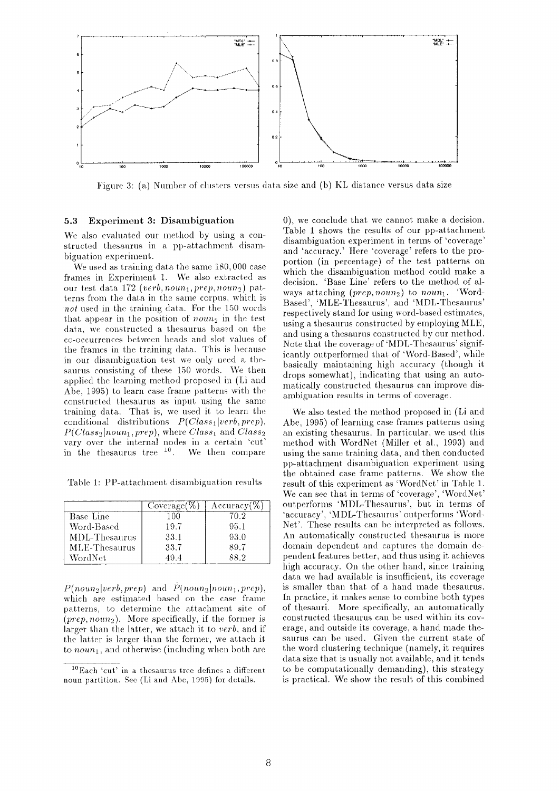

Figure 3: (a) Number of clusters versus data size and (b) KL distance versus data size

#### **Experiment 3: Disambiguation** 5.3

We also evaluated our method by using a constructed thesaurus in a pp-attachment disambiguation experiment.

We used as training data the same 180,000 case frames in Experiment 1. We also extracted as our test data 172 (verb, noun<sub>1</sub>, prep, noun<sub>2</sub>) patterns from the data in the same corpus, which is not used in the training data. For the 150 words that appear in the position of *noun*<sub>2</sub> in the test data, we constructed a thesaurus based on the co-occurrences between heads and slot values of the frames in the training data. This is because in our disambiguation test we only need a thesaurus consisting of these 150 words. We then applied the learning method proposed in (Li and Abe, 1995) to learn case frame patterns with the constructed these areas input using the same training data. That is, we used it to learn the conditional distributions  $P(Class_1|verb,prep)$ ,  $P(Class_2|noun_1, prep)$ , where  $Class_1$  and  $Class_2$ vary over the internal nodes in a certain 'cut in the thesaurus tree  $10$ . We then compare

Table 1: PP-attachment disambiguation results

|               | $Coverage(\%)$ | $\Lambda$ ccuracy(% |
|---------------|----------------|---------------------|
| Base Line     | 100            | 70.2                |
| Word-Based    | 19.7           | 95.1                |
| MDL-Thesaurus | 33.1           | 93.0                |
| MLE-Thesaurus | 33.7           | 89.7                |
| WordNet       | 49.4           | 88.2                |

 $\hat{P}(noun_3|verb,prep)$  and  $\hat{P}(noun_2|noun_1,prep)$ , which are estimated based on the case frame patterns, to determine the attachment site of  $(prep, noun_2)$ . More specifically, if the former is larger than the latter, we attach it to verb, and if the latter is larger than the former, we attach it to  $noun_1$ , and otherwise (including when both are

0), we conclude that we cannot make a decision. Table 1 shows the results of our pp-attachment disambiguation experiment in terms of 'coverage' and 'accuracy.' Here 'coverage' refers to the proportion (in percentage) of the test patterns on which the disambiguation method could make a decision. 'Base Line' refers to the method of always attaching  $(prep, noun_2)$  to noun<sub>1</sub>. 'Word-Based', 'MLE-Thesaurus', and 'MDL-Thesaurus' respectively stand for using word-based estimates, using a thesaurus constructed by employing MLE, and using a thesaurus constructed by our method. Note that the coverage of 'MDL-Thesaurus' significantly outperformed that of 'Word-Based', while basically maintaining high accuracy (though it drops somewhat), indicating that using an automatically constructed thesaurus can improve disambiguation results in terms of coverage.

We also tested the method proposed in (Li and Abe, 1995) of learning case frames patterns using an existing thesaurus. In particular, we used this method with WordNet (Miller et al., 1993) and using the same training data, and then conducted pp-attachment disambiguation experiment using the obtained case frame patterns. We show the result of this experiment as 'WordNet' in Table 1. We can see that in terms of 'coverage', 'WordNet' outperforms 'MDL-Thesaurus', but in terms of 'accuracy', 'MDL-Thesaurus' outperforms 'Word-Net'. These results can be interpreted as follows. An automatically constructed thesaurus is more domain dependent and captures the domain dependent features better, and thus using it achieves high accuracy. On the other hand, since training data we had available is insufficient, its coverage is smaller than that of a hand made thesaurus. In practice, it makes sense to combine both types of thesauri. More specifically, an automatically constructed thesaurus can be used within its coverage, and outside its coverage, a hand made thesaurus can be used. Given the current state of the word clustering technique (namely, it requires data size that is usually not available, and it tends to be computationally demanding), this strategy is practical. We show the result of this combined

<sup>&</sup>lt;sup>10</sup>Each 'cut' in a thesaurus tree defines a different noun partition. See (Li and Abe, 1995) for details.